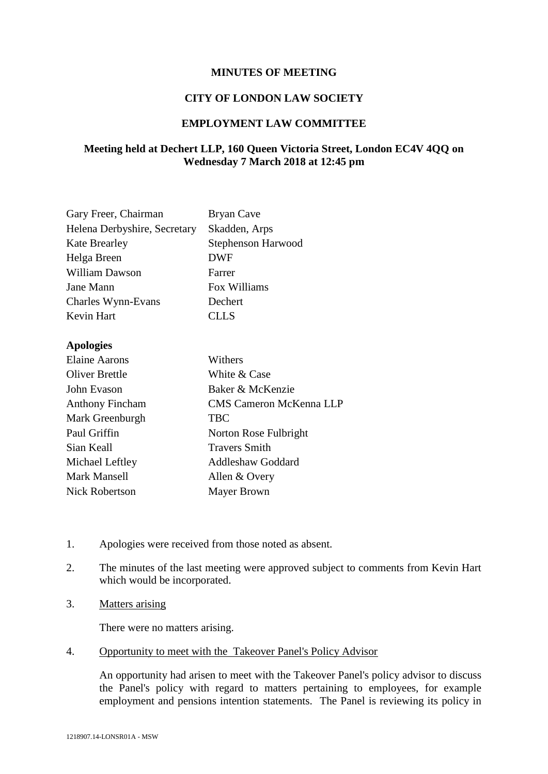## **MINUTES OF MEETING**

### **CITY OF LONDON LAW SOCIETY**

### **EMPLOYMENT LAW COMMITTEE**

# **Meeting held at Dechert LLP, 160 Queen Victoria Street, London EC4V 4QQ on Wednesday 7 March 2018 at 12:45 pm**

| Gary Freer, Chairman         | Bryan Cave                |
|------------------------------|---------------------------|
| Helena Derbyshire, Secretary | Skadden, Arps             |
| <b>Kate Brearley</b>         | <b>Stephenson Harwood</b> |
| Helga Breen                  | DWF                       |
| <b>William Dawson</b>        | Farrer                    |
| Jane Mann                    | Fox Williams              |
| Charles Wynn-Evans           | Dechert                   |
| Kevin Hart                   | <b>CLLS</b>               |
|                              |                           |

### **Apologies**

| <b>Elaine Aarons</b>   | Withers                        |
|------------------------|--------------------------------|
| <b>Oliver Brettle</b>  | White & Case                   |
| John Evason            | Baker & McKenzie               |
| <b>Anthony Fincham</b> | <b>CMS Cameron McKenna LLP</b> |
| Mark Greenburgh        | <b>TBC</b>                     |
| Paul Griffin           | Norton Rose Fulbright          |
| Sian Keall             | <b>Travers Smith</b>           |
| Michael Leftley        | <b>Addleshaw Goddard</b>       |
| Mark Mansell           | Allen & Overy                  |
| <b>Nick Robertson</b>  | <b>Mayer Brown</b>             |

- 1. Apologies were received from those noted as absent.
- 2. The minutes of the last meeting were approved subject to comments from Kevin Hart which would be incorporated.
- 3. Matters arising

There were no matters arising.

4. Opportunity to meet with the Takeover Panel's Policy Advisor

An opportunity had arisen to meet with the Takeover Panel's policy advisor to discuss the Panel's policy with regard to matters pertaining to employees, for example employment and pensions intention statements. The Panel is reviewing its policy in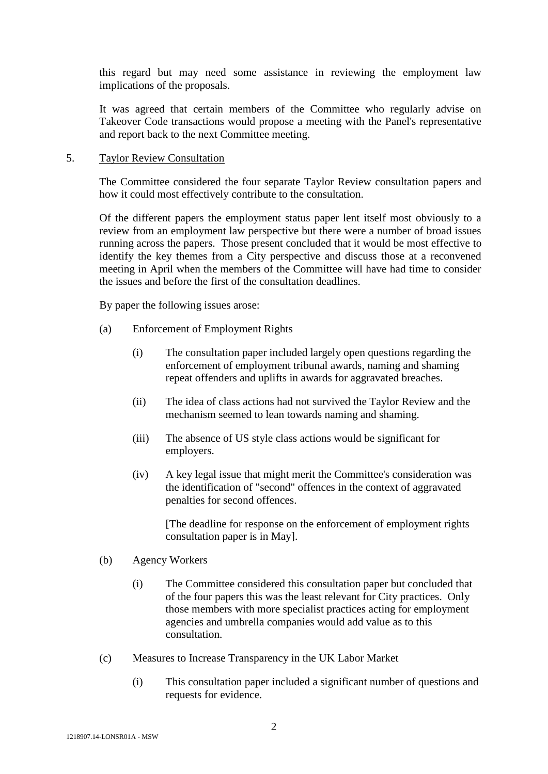this regard but may need some assistance in reviewing the employment law implications of the proposals.

It was agreed that certain members of the Committee who regularly advise on Takeover Code transactions would propose a meeting with the Panel's representative and report back to the next Committee meeting.

#### 5. Taylor Review Consultation

The Committee considered the four separate Taylor Review consultation papers and how it could most effectively contribute to the consultation.

Of the different papers the employment status paper lent itself most obviously to a review from an employment law perspective but there were a number of broad issues running across the papers. Those present concluded that it would be most effective to identify the key themes from a City perspective and discuss those at a reconvened meeting in April when the members of the Committee will have had time to consider the issues and before the first of the consultation deadlines.

By paper the following issues arose:

- (a) Enforcement of Employment Rights
	- (i) The consultation paper included largely open questions regarding the enforcement of employment tribunal awards, naming and shaming repeat offenders and uplifts in awards for aggravated breaches.
	- (ii) The idea of class actions had not survived the Taylor Review and the mechanism seemed to lean towards naming and shaming.
	- (iii) The absence of US style class actions would be significant for employers.
	- (iv) A key legal issue that might merit the Committee's consideration was the identification of "second" offences in the context of aggravated penalties for second offences.

[The deadline for response on the enforcement of employment rights consultation paper is in May].

- (b) Agency Workers
	- (i) The Committee considered this consultation paper but concluded that of the four papers this was the least relevant for City practices. Only those members with more specialist practices acting for employment agencies and umbrella companies would add value as to this consultation.
- (c) Measures to Increase Transparency in the UK Labor Market
	- (i) This consultation paper included a significant number of questions and requests for evidence.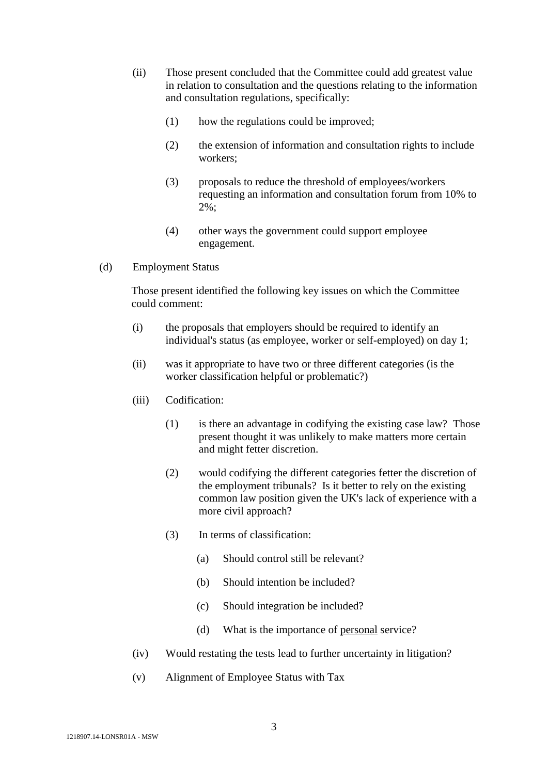- (ii) Those present concluded that the Committee could add greatest value in relation to consultation and the questions relating to the information and consultation regulations, specifically:
	- (1) how the regulations could be improved;
	- (2) the extension of information and consultation rights to include workers;
	- (3) proposals to reduce the threshold of employees/workers requesting an information and consultation forum from 10% to 2%;
	- (4) other ways the government could support employee engagement.
- (d) Employment Status

Those present identified the following key issues on which the Committee could comment:

- (i) the proposals that employers should be required to identify an individual's status (as employee, worker or self-employed) on day 1;
- (ii) was it appropriate to have two or three different categories (is the worker classification helpful or problematic?)
- (iii) Codification:
	- (1) is there an advantage in codifying the existing case law? Those present thought it was unlikely to make matters more certain and might fetter discretion.
	- (2) would codifying the different categories fetter the discretion of the employment tribunals? Is it better to rely on the existing common law position given the UK's lack of experience with a more civil approach?
	- (3) In terms of classification:
		- (a) Should control still be relevant?
		- (b) Should intention be included?
		- (c) Should integration be included?
		- (d) What is the importance of personal service?
- (iv) Would restating the tests lead to further uncertainty in litigation?
- (v) Alignment of Employee Status with Tax